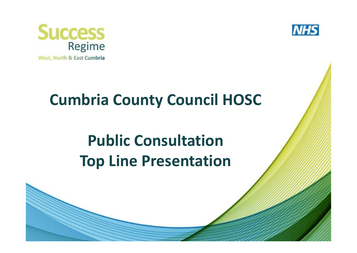



## **Cumbria County Council HOSC**

# **Public ConsultationTop Line Presentation**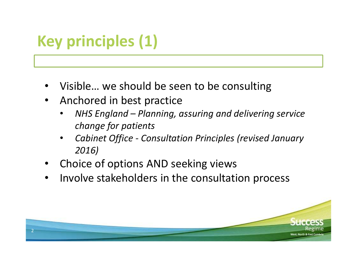## **Key principles (1)**

- •Visible… we should be seen to be consulting
- Anchored in best practice
	- *NHS England – Planning, assuring and delivering service*  •*change for patients*
	- • *Cabinet Office - Consultation Principles (revised January 2016)*
- •Choice of options AND seeking views
- •Involve stakeholders in the consultation process

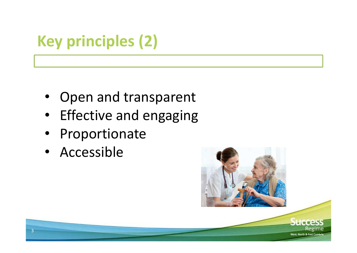## **Key principles (2)**

- Open and transparent
- •Effective and engaging
- •Proportionate
- Accessible

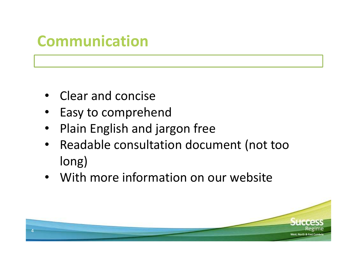#### **Communication**

- Clear and concise
- Easy to comprehend
- Plain English and jargon free •
- Readable consultation document (not too long)
- With more information on our website

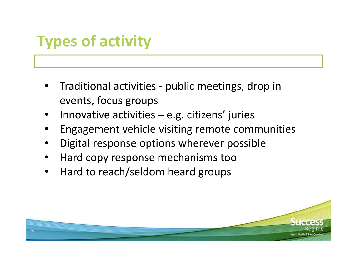## **Types of activity**

- • Traditional activities - public meetings, drop in events, focus groups
- •Innovative activities  $-e.g.$  citizens' juries
- •Engagement vehicle visiting remote communities
- •Digital response options wherever possible
- •Hard copy response mechanisms too
- Hard to reach/seldom heard groups •

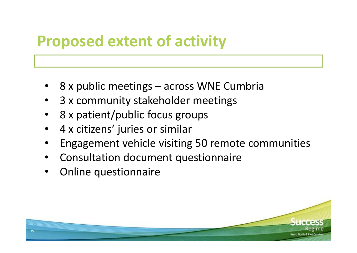### **Proposed extent of activity**

- •8 x public meetings – across WNE Cumbria
- •3 x community stakeholder meetings
- •8 x patient/public focus groups
- •4 x citizens' juries or similar
- •Engagement vehicle visiting 50 remote communities
- •Consultation document questionnaire
- •Online questionnaire

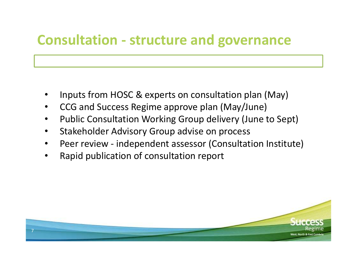#### **Consultation - structure and governance**

- •Inputs from HOSC & experts on consultation plan (May)
- •CCG and Success Regime approve plan (May/June)
- •Public Consultation Working Group delivery (June to Sept)
- •Stakeholder Advisory Group advise on process
- •Peer review - independent assessor (Consultation Institute)
- •Rapid publication of consultation report

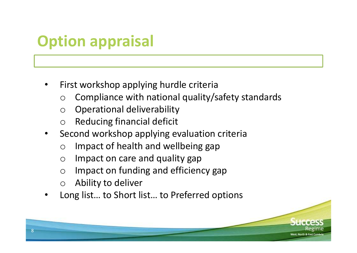## **Option appraisal**

- • First workshop applying hurdle criteria
	- o Compliance with national quality/safety standards  $\bigcirc$
	- $\bigcap$ Operational deliverability
	- $\bigcirc$ Reducing financial deficit
- • Second workshop applying evaluation criteria
	- $\bigcap$ Impact of health and wellbeing gap
	- $\bigcap$ Impact on care and quality gap
	- $\bigcap$ Impact on funding and efficiency gap
	- $\bigcirc$ Ability to deliver
- •Long list… to Short list… to Preferred options